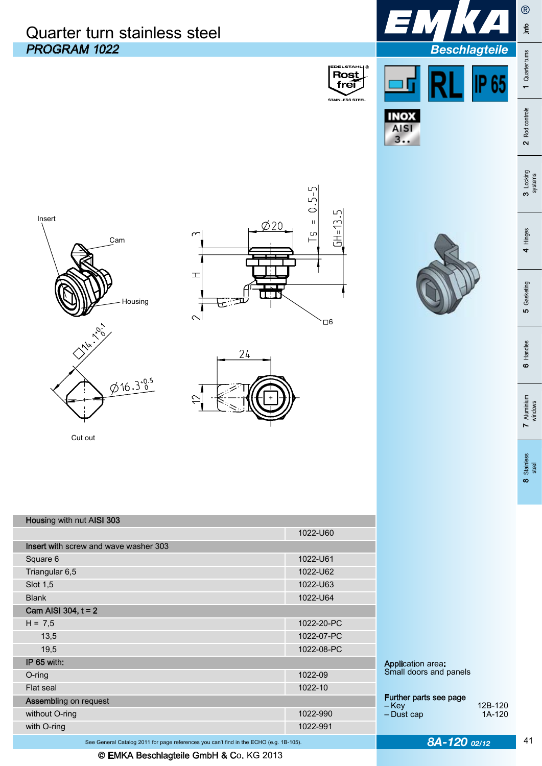## PROGRAM 1022 *Beschlagteile*  Quarter turn stainless steel





 $3...$ 







Cut out

| without O-ring               |                                              | 1022-990   | – Key<br>- Dust cap                                | 12B<br>1A |
|------------------------------|----------------------------------------------|------------|----------------------------------------------------|-----------|
| <b>Assembling on request</b> |                                              |            | Further parts see page                             |           |
| Flat seal                    |                                              | 1022-10    |                                                    |           |
| $O$ -ring                    |                                              | 1022-09    | <b>Application area:</b><br>Small doors and panels |           |
| IP 65 with:                  |                                              |            |                                                    |           |
| 19,5                         |                                              | 1022-08-PC |                                                    |           |
| 13,5                         |                                              | 1022-07-PC |                                                    |           |
| $H = 7,5$                    |                                              | 1022-20-PC |                                                    |           |
| Cam AISI 304, $t = 2$        |                                              |            |                                                    |           |
| <b>Blank</b>                 |                                              | 1022-U64   |                                                    |           |
| Slot 1,5                     |                                              | 1022-U63   |                                                    |           |
| Triangular 6,5               |                                              | 1022-U62   |                                                    |           |
| Square 6                     |                                              | 1022-U61   |                                                    |           |
|                              | <b>Insert with screw and wave washer 303</b> |            |                                                    |           |
|                              |                                              | 1022-U60   |                                                    |           |
| Housing with nut AISI 303    |                                              |            |                                                    |           |



®

 $\mathbf{m}$ 

1 Quarter turns Info

1 Quarter turns

2 Rod controls

3 Locking<br>systems

4 Hinges

5 Gasketing

6 Handles

 Further parts see page ‒ Key 12B-120 ‒ Dust cap 1A-120

41